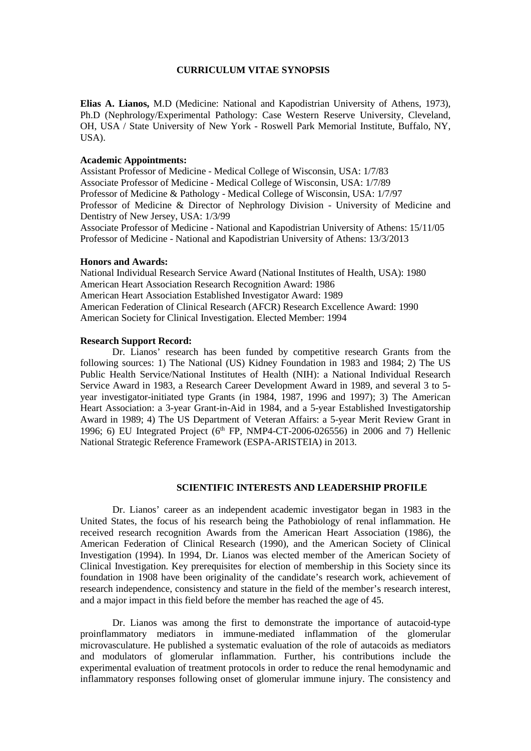# **CURRICULUM VITAE SYNOPSIS**

**Elias A. Lianos,** M.D (Medicine: National and Kapodistrian University of Athens, 1973), Ph.D (Nephrology/Experimental Pathology: Case Western Reserve University, Cleveland, OH, USA / State University of New York - Roswell Park Memorial Institute, Buffalo, NY, USA).

# **Academic Appointments:**

Assistant Professor of Medicine - Medical College of Wisconsin, USA: 1/7/83 Associate Professor of Medicine - Medical College of Wisconsin, USA: 1/7/89 Professor of Medicine & Pathology - Medical College of Wisconsin, USA: 1/7/97 Professor of Medicine & Director of Nephrology Division - University of Medicine and Dentistry of New Jersey, USA: 1/3/99 Associate Professor of Medicine - National and Kapodistrian University of Athens: 15/11/05

Professor of Medicine - National and Kapodistrian University of Athens: 13/3/2013

## **Honors and Awards:**

National Individual Research Service Award (National Institutes of Health, USA): 1980 American Heart Association Research Recognition Award: 1986 American Heart Association Established Investigator Award: 1989 American Federation of Clinical Research (AFCR) Research Excellence Award: 1990 American Society for Clinical Investigation. Elected Member: 1994

#### **Research Support Record:**

Dr. Lianos' research has been funded by competitive research Grants from the following sources: 1) The National (US) Kidney Foundation in 1983 and 1984; 2) The US Public Health Service/National Institutes of Health (NIH): a National Individual Research Service Award in 1983, a Research Career Development Award in 1989, and several 3 to 5 year investigator-initiated type Grants (in 1984, 1987, 1996 and 1997); 3) The American Heart Association: a 3-year Grant-in-Aid in 1984, and a 5-year Established Investigatorship Award in 1989; 4) The US Department of Veteran Affairs: a 5-year Merit Review Grant in 1996; 6) EU Integrated Project (6<sup>th</sup> FP, NMP4-CT-2006-026556) in 2006 and 7) Hellenic National Strategic Reference Framework (ESPA-ARISTEIA) in 2013.

# **SCIENTIFIC INTERESTS AND LEADERSHIP PROFILE**

Dr. Lianos' career as an independent academic investigator began in 1983 in the United States, the focus of his research being the Pathobiology of renal inflammation. He received research recognition Awards from the American Heart Association (1986), the American Federation of Clinical Research (1990), and the American Society of Clinical Investigation (1994). In 1994, Dr. Lianos was elected member of the American Society of Clinical Investigation. Key prerequisites for election of membership in this Society since its foundation in 1908 have been originality of the candidate's research work, achievement of research independence, consistency and stature in the field of the member's research interest, and a major impact in this field before the member has reached the age of 45.

Dr. Lianos was among the first to demonstrate the importance of autacoid-type proinflammatory mediators in immune-mediated inflammation of the glomerular microvasculature. He published a systematic evaluation of the role of autacoids as mediators and modulators of glomerular inflammation. Further, his contributions include the experimental evaluation of treatment protocols in order to reduce the renal hemodynamic and inflammatory responses following onset of glomerular immune injury. The consistency and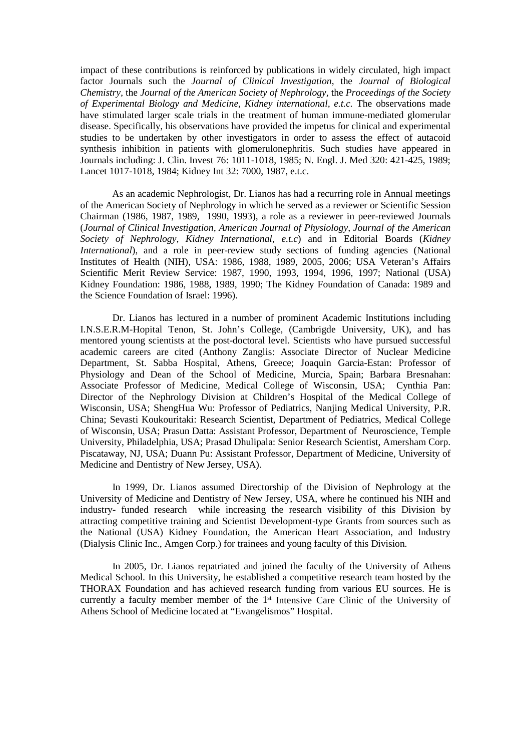impact of these contributions is reinforced by publications in widely circulated, high impact factor Journals such the *Journal of Clinical Investigation*, the *Journal of Biological Chemistry,* the *Journal of the American Society of Nephrology,* the *Proceedings of the Society of Experimental Biology and Medicine, Kidney international, e.t.c.* The observations made have stimulated larger scale trials in the treatment of human immune-mediated glomerular disease. Specifically, his observations have provided the impetus for clinical and experimental studies to be undertaken by other investigators in order to assess the effect of autacoid synthesis inhibition in patients with glomerulonephritis. Such studies have appeared in Journals including: J. Clin. Invest 76: 1011-1018, 1985; N. Engl. J. Med 320: 421-425, 1989; Lancet 1017-1018, 1984; Kidney Int 32: 7000, 1987, e.t.c.

As an academic Nephrologist, Dr. Lianos has had a recurring role in Annual meetings of the American Society of Nephrology in which he served as a reviewer or Scientific Session Chairman (1986, 1987, 1989, 1990, 1993), a role as a reviewer in peer-reviewed Journals (*Journal of Clinical Investigation, American Journal of Physiology, Journal of the American Society of Nephrology, Kidney International, e.t.c*) and in Editorial Boards (*Kidney International*), and a role in peer-review study sections of funding agencies (National Institutes of Health (NIH), USA: 1986, 1988, 1989, 2005, 2006; USA Veteran's Affairs Scientific Merit Review Service: 1987, 1990, 1993, 1994, 1996, 1997; National (USA) Kidney Foundation: 1986, 1988, 1989, 1990; The Kidney Foundation of Canada: 1989 and the Science Foundation of Israel: 1996).

Dr. Lianos has lectured in a number of prominent Academic Institutions including I.N.S.E.R.M-Hopital Tenon, St. John's College, (Cambrigde University, UK), and has mentored young scientists at the post-doctoral level. Scientists who have pursued successful academic careers are cited (Anthony Zanglis: Associate Director of Nuclear Medicine Department, St. Sabba Hospital, Athens, Greece; Joaquin Garcia-Estan: Professor of Physiology and Dean of the School of Medicine, Murcia, Spain; Barbara Bresnahan: Associate Professor of Medicine, Medical College of Wisconsin, USA; Cynthia Pan: Director of the Nephrology Division at Children's Hospital of the Medical College of Wisconsin, USA; ShengHua Wu: Professor of Pediatrics, Nanjing Medical University, P.R. China; Sevasti Koukouritaki: Research Scientist, Department of Pediatrics, Medical College of Wisconsin, USA; Prasun Datta: Assistant Professor, Department of Neuroscience, Temple University, Philadelphia, USA; Prasad Dhulipala: Senior Research Scientist, Amersham Corp. Piscataway, NJ, USA; Duann Pu: Assistant Professor, Department of Medicine, University of Medicine and Dentistry of New Jersey, USA).

In 1999, Dr. Lianos assumed Directorship of the Division of Nephrology at the University of Medicine and Dentistry of New Jersey, USA, where he continued his NIH and industry- funded research while increasing the research visibility of this Division by attracting competitive training and Scientist Development-type Grants from sources such as the National (USA) Kidney Foundation, the American Heart Association, and Industry (Dialysis Clinic Inc., Amgen Corp.) for trainees and young faculty of this Division.

In 2005, Dr. Lianos repatriated and joined the faculty of the University of Athens Medical School. In this University, he established a competitive research team hosted by the THORAX Foundation and has achieved research funding from various EU sources. He is currently a faculty member member of the 1<sup>st</sup> Intensive Care Clinic of the University of Athens School of Medicine located at "Evangelismos" Hospital.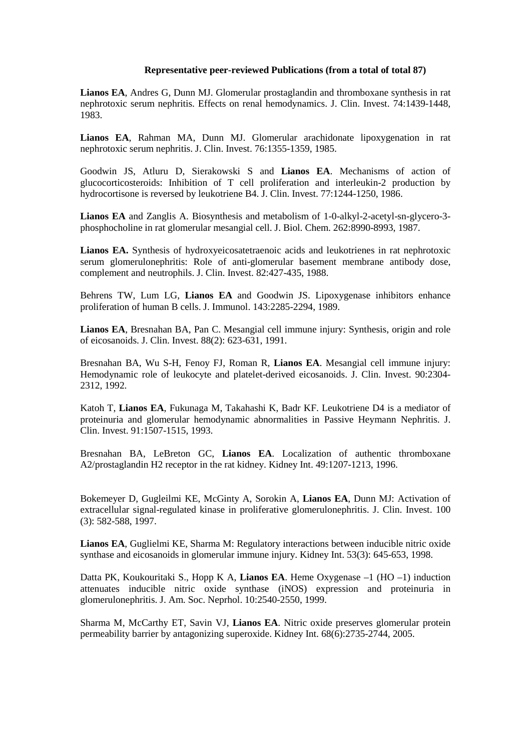## **Representative peer-reviewed Publications (from a total of total 87)**

**Lianos EA**, Andres G, Dunn MJ. Glomerular prostaglandin and thromboxane synthesis in rat nephrotoxic serum nephritis. Effects on renal hemodynamics. J. Clin. Invest. 74:1439-1448, 1983.

**Lianos EA**, Rahman MA, Dunn MJ. Glomerular arachidonate lipoxygenation in rat nephrotoxic serum nephritis. J. Clin. Invest. 76:1355-1359, 1985.

Goodwin JS, Atluru D, Sierakowski S and **Lianos EA**. Mechanisms of action of glucocorticosteroids: Inhibition of T cell proliferation and interleukin-2 production by hydrocortisone is reversed by leukotriene B4. J. Clin. Invest. 77:1244-1250, 1986.

**Lianos EA** and Zanglis A. Biosynthesis and metabolism of 1-0-alkyl-2-acetyl-sn-glycero-3 phosphocholine in rat glomerular mesangial cell. J. Biol. Chem. 262:8990-8993, 1987.

**Lianos EA.** Synthesis of hydroxyeicosatetraenoic acids and leukotrienes in rat nephrotoxic serum glomerulonephritis: Role of anti-glomerular basement membrane antibody dose, complement and neutrophils. J. Clin. Invest. 82:427-435, 1988.

Behrens TW, Lum LG, **Lianos EA** and Goodwin JS. Lipoxygenase inhibitors enhance proliferation of human B cells. J. Immunol. 143:2285-2294, 1989.

**Lianos EA**, Bresnahan BA, Pan C. Mesangial cell immune injury: Synthesis, origin and role of eicosanoids. J. Clin. Invest. 88(2): 623-631, 1991.

Bresnahan BA, Wu S-H, Fenoy FJ, Roman R, **Lianos EA**. Mesangial cell immune injury: Hemodynamic role of leukocyte and platelet-derived eicosanoids. J. Clin. Invest. 90:2304- 2312, 1992.

Katoh T, **Lianos EA**, Fukunaga M, Takahashi K, Badr KF. Leukotriene D4 is a mediator of proteinuria and glomerular hemodynamic abnormalities in Passive Heymann Nephritis. J. Clin. Invest. 91:1507-1515, 1993.

Bresnahan BA, LeBreton GC, **Lianos EA**. Localization of authentic thromboxane A2/prostaglandin H2 receptor in the rat kidney. Kidney Int. 49:1207-1213, 1996.

Bokemeyer D, Gugleilmi KE, McGinty A, Sorokin A, **Lianos EA**, Dunn MJ: Activation of extracellular signal-regulated kinase in proliferative glomerulonephritis. J. Clin. Invest. 100 (3): 582-588, 1997.

**Lianos EA**, Guglielmi KE, Sharma M: Regulatory interactions between inducible nitric oxide synthase and eicosanoids in glomerular immune injury. Kidney Int. 53(3): 645-653, 1998.

Datta PK, Koukouritaki S., Hopp K A, **Lianos EA**. Heme Oxygenase –1 (HO –1) induction attenuates inducible nitric oxide synthase (iNOS) expression and proteinuria in glomerulonephritis. J. Am. Soc. Neprhol. 10:2540-2550, 1999.

Sharma M, McCarthy ET, Savin VJ, **Lianos EA**. Nitric oxide preserves glomerular protein permeability barrier by antagonizing superoxide. Kidney Int. 68(6):2735-2744, 2005.